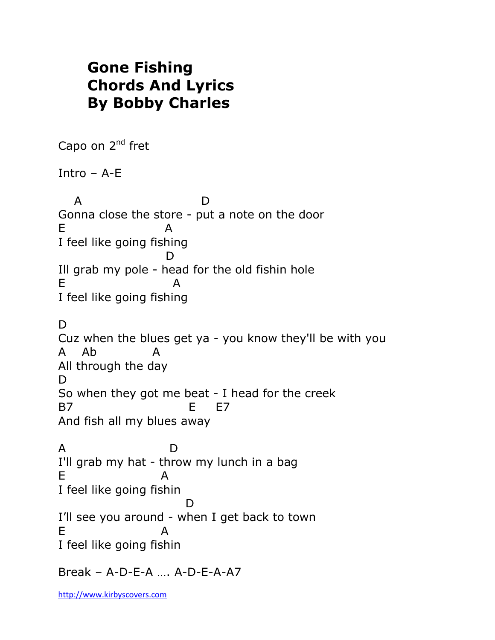## **Gone Fishing Chords And Lyrics By Bobby Charles**

Capo on 2<sup>nd</sup> fret Intro – A-E A D Gonna close the store - put a note on the door E A I feel like going fishing D Ill grab my pole - head for the old fishin hole E A I feel like going fishing D. Cuz when the blues get ya - you know they'll be with you A Ab All through the day D. So when they got me beat - I head for the creek B7 E E7 And fish all my blues away A D I'll grab my hat - throw my lunch in a bag E A I feel like going fishin **District of the Contract of the District of the Contract of the District of the District of the District of t** I'll see you around - when I get back to town E A I feel like going fishin Break – A-D-E-A …. A-D-E-A-A7